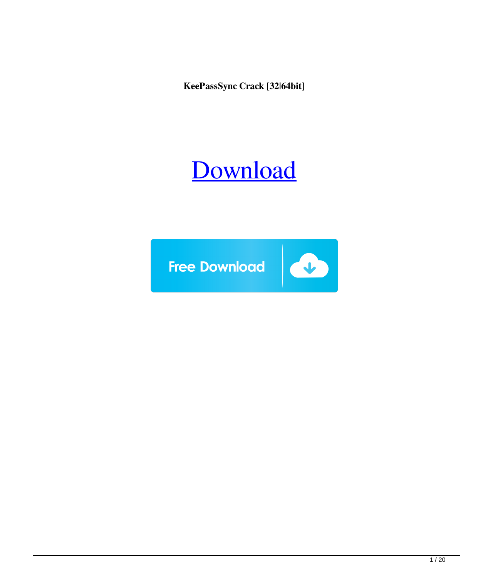**KeePassSync Crack [32|64bit]**

## [Download](http://evacdir.com/abduction/S2VlUGFzc1N5bmMS2V/celibate.ZG93bmxvYWR8UlYzTW1oaWNYeDhNVFkxTkRVeU1qRXhNSHg4TWpVNU1IeDhLRTBwSUZkdmNtUndjbVZ6Y3lCYldFMU1VbEJESUZZeUlGQkVSbDA.monadnock.funds=hoag.illustrate.retook)

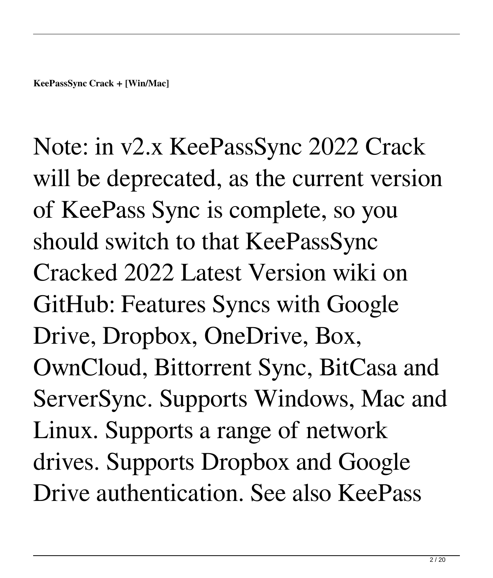Note: in v2.x KeePassSync 2022 Crack will be deprecated, as the current version of KeePass Sync is complete, so you should switch to that KeePassSync Cracked 2022 Latest Version wiki on GitHub: Features Syncs with Google Drive, Dropbox, OneDrive, Box, OwnCloud, Bittorrent Sync, BitCasa and ServerSync. Supports Windows, Mac and Linux. Supports a range of network drives. Supports Dropbox and Google Drive authentication. See also KeePass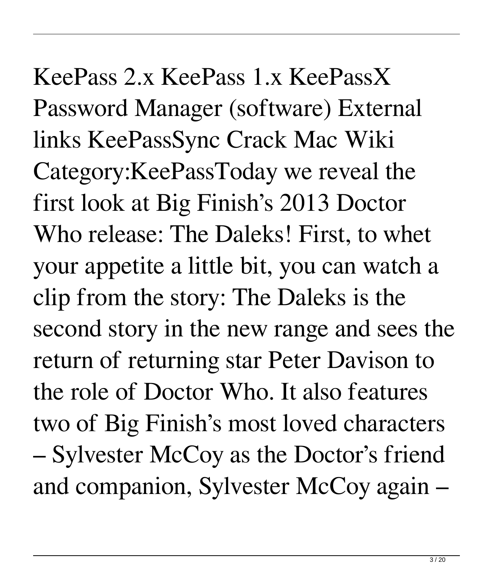KeePass 2.x KeePass 1.x KeePassX Password Manager (software) External links KeePassSync Crack Mac Wiki Category:KeePassToday we reveal the first look at Big Finish's 2013 Doctor Who release: The Daleks! First, to whet your appetite a little bit, you can watch a clip from the story: The Daleks is the second story in the new range and sees the return of returning star Peter Davison to the role of Doctor Who. It also features two of Big Finish's most loved characters – Sylvester McCoy as the Doctor's friend and companion, Sylvester McCoy again –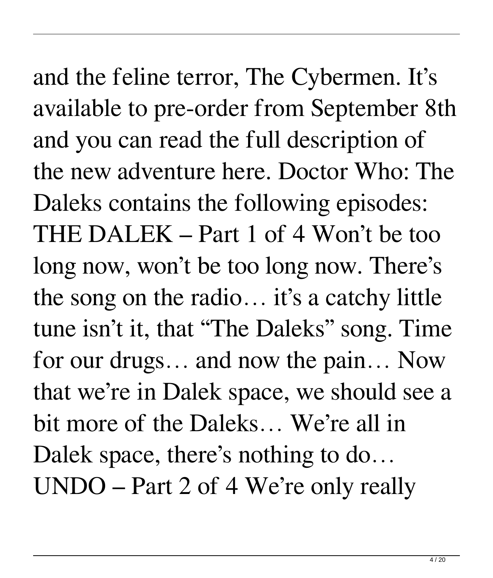and the feline terror, The Cybermen. It's available to pre-order from September 8th and you can read the full description of the new adventure here. Doctor Who: The Daleks contains the following episodes: THE DALEK – Part 1 of 4 Won't be too long now, won't be too long now. There's the song on the radio… it's a catchy little tune isn't it, that "The Daleks" song. Time for our drugs… and now the pain… Now that we're in Dalek space, we should see a bit more of the Daleks… We're all in Dalek space, there's nothing to do... UNDO – Part 2 of 4 We're only really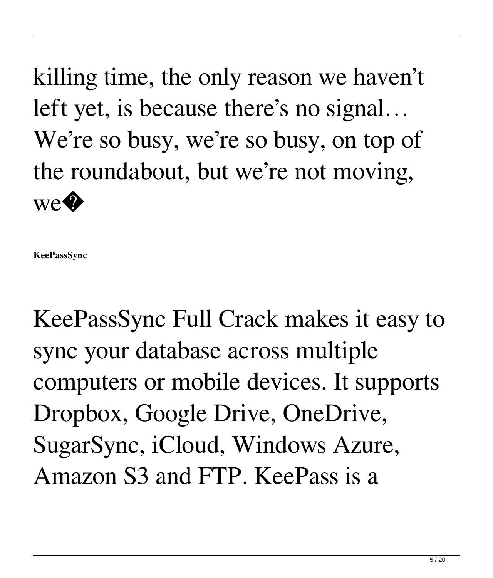killing time, the only reason we haven't left yet, is because there's no signal… We're so busy, we're so busy, on top of the roundabout, but we're not moving, we<sup>�</sup>

**KeePassSync**

KeePassSync Full Crack makes it easy to sync your database across multiple computers or mobile devices. It supports Dropbox, Google Drive, OneDrive, SugarSync, iCloud, Windows Azure, Amazon S3 and FTP. KeePass is a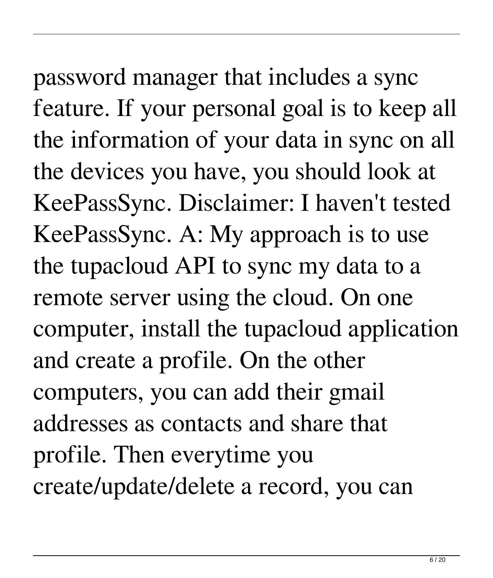password manager that includes a sync feature. If your personal goal is to keep all the information of your data in sync on all the devices you have, you should look at KeePassSync. Disclaimer: I haven't tested KeePassSync. A: My approach is to use the tupacloud API to sync my data to a remote server using the cloud. On one computer, install the tupacloud application and create a profile. On the other computers, you can add their gmail addresses as contacts and share that profile. Then everytime you create/update/delete a record, you can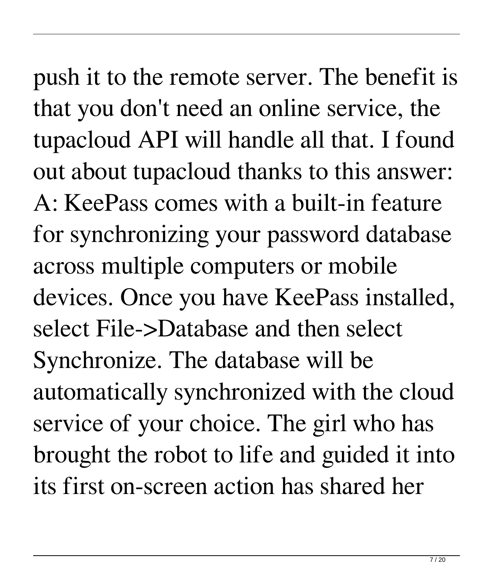push it to the remote server. The benefit is that you don't need an online service, the tupacloud API will handle all that. I found out about tupacloud thanks to this answer: A: KeePass comes with a built-in feature for synchronizing your password database across multiple computers or mobile devices. Once you have KeePass installed, select File->Database and then select Synchronize. The database will be automatically synchronized with the cloud service of your choice. The girl who has brought the robot to life and guided it into its first on-screen action has shared her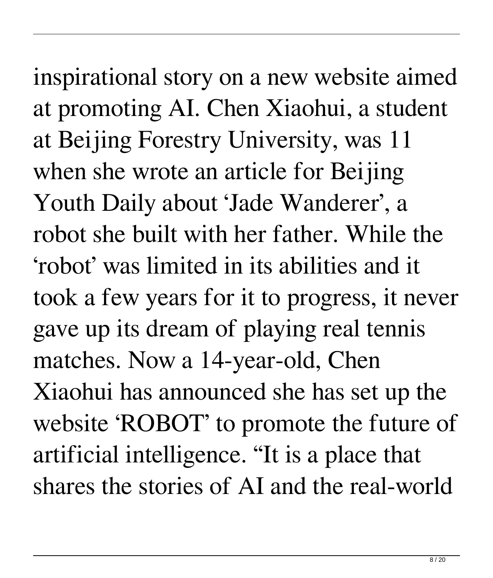inspirational story on a new website aimed at promoting AI. Chen Xiaohui, a student at Beijing Forestry University, was 11 when she wrote an article for Beijing Youth Daily about 'Jade Wanderer', a robot she built with her father. While the 'robot' was limited in its abilities and it took a few years for it to progress, it never gave up its dream of playing real tennis matches. Now a 14-year-old, Chen Xiaohui has announced she has set up the website 'ROBOT' to promote the future of artificial intelligence. "It is a place that shares the stories of AI and the real-world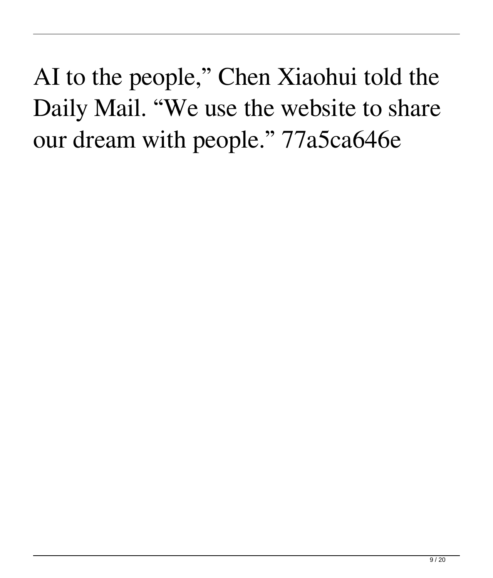AI to the people," Chen Xiaohui told the Daily Mail. "We use the website to share our dream with people." 77a5ca646e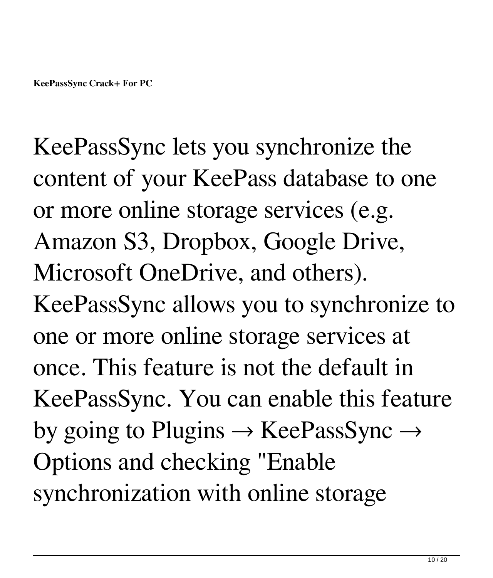KeePassSync lets you synchronize the content of your KeePass database to one or more online storage services (e.g. Amazon S3, Dropbox, Google Drive, Microsoft OneDrive, and others). KeePassSync allows you to synchronize to one or more online storage services at once. This feature is not the default in KeePassSync. You can enable this feature by going to Plugins  $\rightarrow$  KeePassSync  $\rightarrow$ Options and checking "Enable synchronization with online storage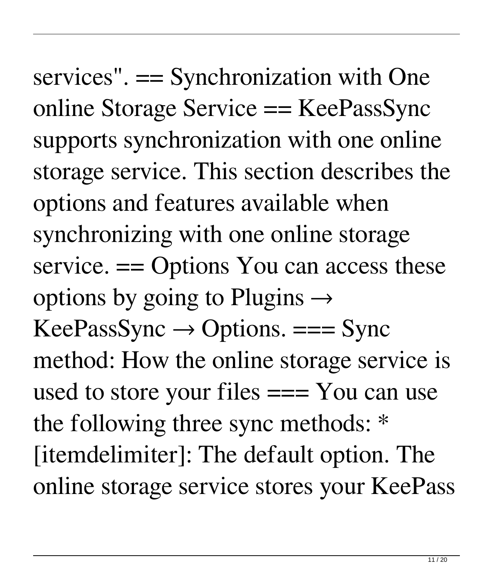services". == Synchronization with One online Storage Service == KeePassSync supports synchronization with one online storage service. This section describes the options and features available when synchronizing with one online storage service. == Options You can access these options by going to Plugins  $\rightarrow$  $KeePassSync \rightarrow Options. == Sync$ method: How the online storage service is used to store your files === You can use the following three sync methods: \* [itemdelimiter]: The default option. The online storage service stores your KeePass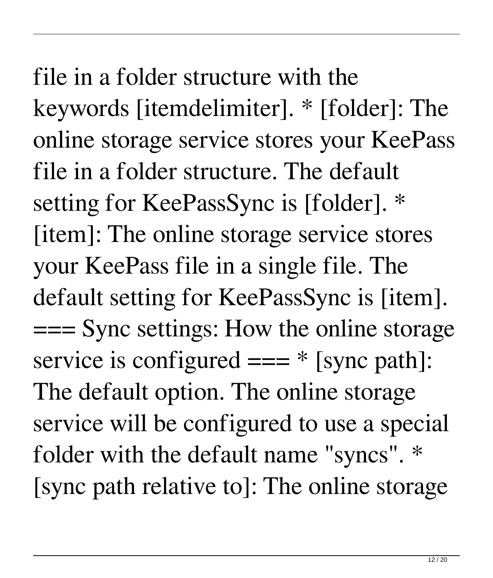file in a folder structure with the keywords [itemdelimiter]. \* [folder]: The online storage service stores your KeePass file in a folder structure. The default setting for KeePassSync is [folder]. \* [item]: The online storage service stores your KeePass file in a single file. The default setting for KeePassSync is [item]. === Sync settings: How the online storage service is configured  $==$  \* [sync path]: The default option. The online storage service will be configured to use a special folder with the default name "syncs". \* [sync path relative to]: The online storage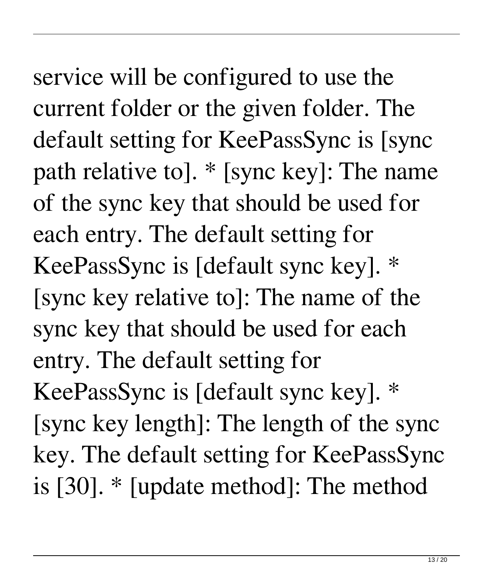service will be configured to use the current folder or the given folder. The default setting for KeePassSync is [sync path relative to]. \* [sync key]: The name of the sync key that should be used for each entry. The default setting for KeePassSync is [default sync key]. \* [sync key relative to]: The name of the sync key that should be used for each entry. The default setting for KeePassSync is [default sync key]. \* [sync key length]: The length of the sync key. The default setting for KeePassSync is [30]. \* [update method]: The method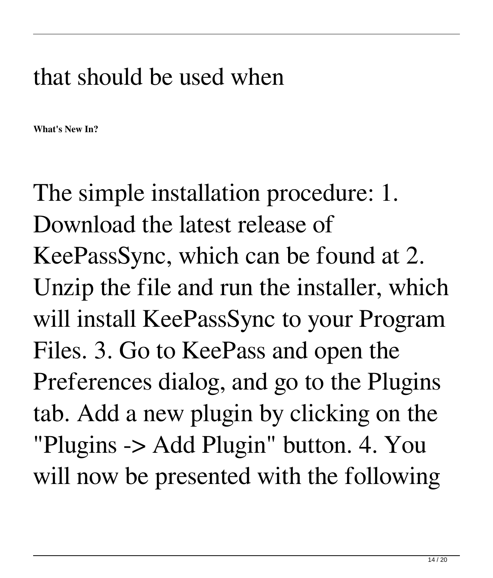## that should be used when

**What's New In?**

The simple installation procedure: 1. Download the latest release of KeePassSync, which can be found at 2. Unzip the file and run the installer, which will install KeePassSync to your Program Files. 3. Go to KeePass and open the Preferences dialog, and go to the Plugins tab. Add a new plugin by clicking on the "Plugins -> Add Plugin" button. 4. You will now be presented with the following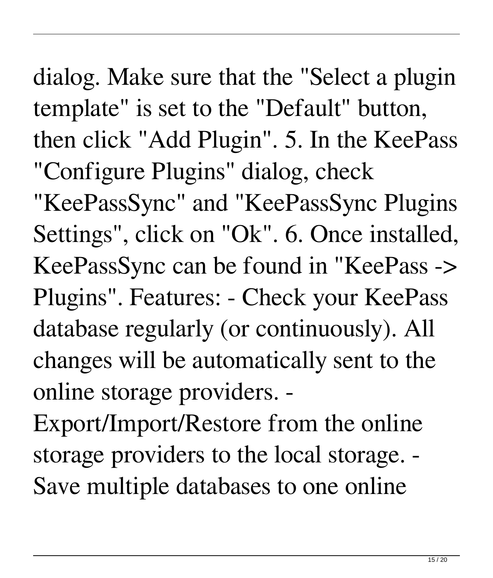dialog. Make sure that the "Select a plugin template" is set to the "Default" button, then click "Add Plugin". 5. In the KeePass "Configure Plugins" dialog, check

"KeePassSync" and "KeePassSync Plugins Settings", click on "Ok". 6. Once installed, KeePassSync can be found in "KeePass -> Plugins". Features: - Check your KeePass database regularly (or continuously). All changes will be automatically sent to the online storage providers. -

Export/Import/Restore from the online storage providers to the local storage. - Save multiple databases to one online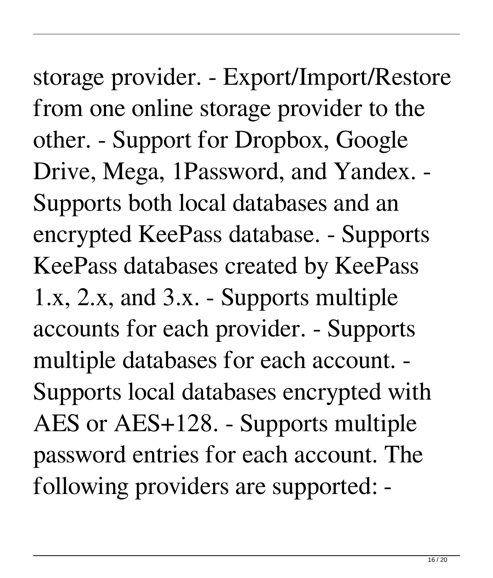storage provider. - Export/Import/Restore from one online storage provider to the other. - Support for Dropbox, Google Drive, Mega, 1Password, and Yandex. - Supports both local databases and an encrypted KeePass database. - Supports KeePass databases created by KeePass 1.x, 2.x, and 3.x. - Supports multiple accounts for each provider. - Supports multiple databases for each account. - Supports local databases encrypted with AES or AES+128. - Supports multiple password entries for each account. The following providers are supported: -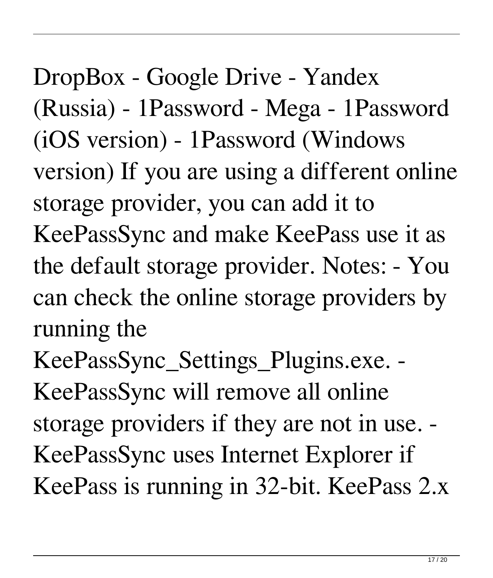DropBox - Google Drive - Yandex (Russia) - 1Password - Mega - 1Password (iOS version) - 1Password (Windows version) If you are using a different online storage provider, you can add it to KeePassSync and make KeePass use it as the default storage provider. Notes: - You can check the online storage providers by running the

KeePassSync\_Settings\_Plugins.exe. - KeePassSync will remove all online storage providers if they are not in use. - KeePassSync uses Internet Explorer if KeePass is running in 32-bit. KeePass 2.x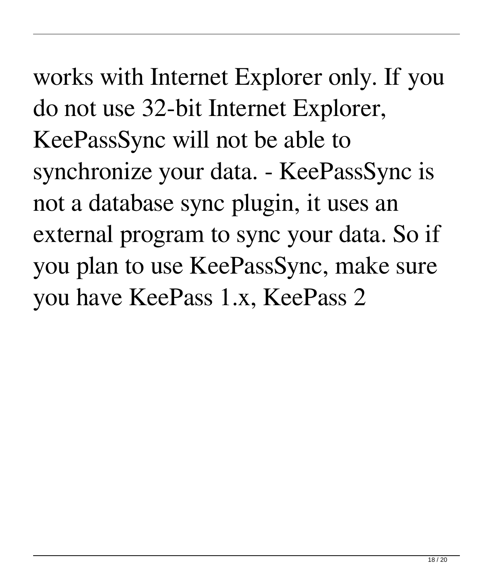works with Internet Explorer only. If you do not use 32-bit Internet Explorer, KeePassSync will not be able to synchronize your data. - KeePassSync is not a database sync plugin, it uses an external program to sync your data. So if you plan to use KeePassSync, make sure you have KeePass 1.x, KeePass 2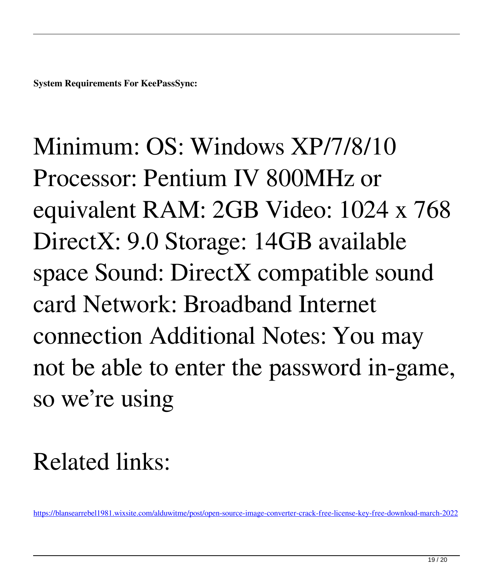Minimum: OS: Windows XP/7/8/10 Processor: Pentium IV 800MHz or equivalent RAM: 2GB Video: 1024 x 768 DirectX: 9.0 Storage: 14GB available space Sound: DirectX compatible sound card Network: Broadband Internet connection Additional Notes: You may not be able to enter the password in-game, so we're using

## Related links:

<https://blansearrebel1981.wixsite.com/alduwitme/post/open-source-image-converter-crack-free-license-key-free-download-march-2022>